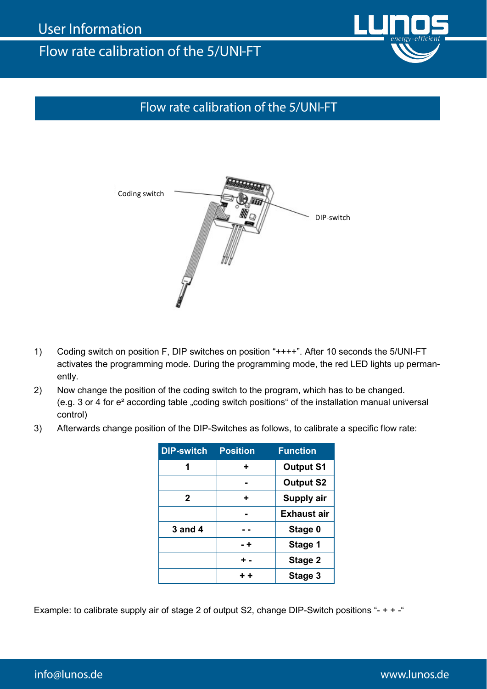## Flow rate calibration of the 5/UNI-FT

## Flow rate calibration of the 5/UNI-FT



- 1) Coding switch on position F, DIP switches on position "++++". After 10 seconds the 5/UNI-FT activates the programming mode. During the programming mode, the red LED lights up permanently.
- 2) Now change the position of the coding switch to the program, which has to be changed. (e.g. 3 or 4 for e<sup>2</sup> according table "coding switch positions" of the installation manual universal control)
- 3) Afterwards change position of the DIP-Switches as follows, to calibrate a specific flow rate:

| <b>DIP-switch</b> | <b>Position</b> | <b>Function</b>    |
|-------------------|-----------------|--------------------|
| 1                 | ٠               | <b>Output S1</b>   |
|                   |                 | <b>Output S2</b>   |
| $\mathbf{2}$      | ٠               | Supply air         |
|                   |                 | <b>Exhaust air</b> |
| 3 and 4           |                 | Stage 0            |
|                   | - +             | Stage 1            |
|                   | + -             | Stage 2            |
|                   | $+ +$           | Stage 3            |

Example: to calibrate supply air of stage 2 of output S2, change DIP-Switch positions "- + + -"